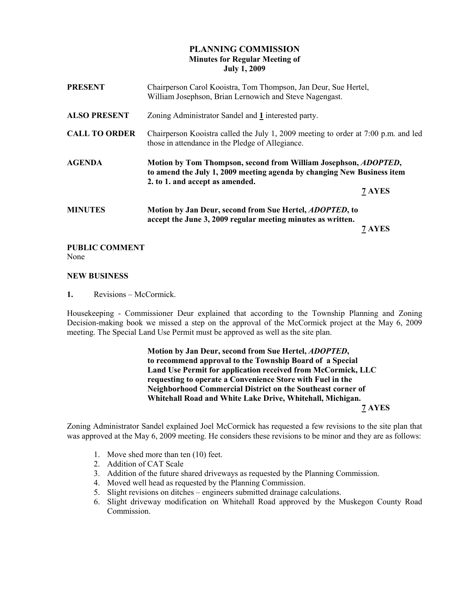# PLANNING COMMISSION Minutes for Regular Meeting of July 1, 2009

| <b>PRESENT</b>       | Chairperson Carol Kooistra, Tom Thompson, Jan Deur, Sue Hertel,<br>William Josephson, Brian Lernowich and Steve Nagengast.                                                           |        |
|----------------------|--------------------------------------------------------------------------------------------------------------------------------------------------------------------------------------|--------|
| <b>ALSO PRESENT</b>  | Zoning Administrator Sandel and 1 interested party.                                                                                                                                  |        |
| <b>CALL TO ORDER</b> | Chairperson Kooistra called the July 1, 2009 meeting to order at 7:00 p.m. and led<br>those in attendance in the Pledge of Allegiance.                                               |        |
| <b>AGENDA</b>        | Motion by Tom Thompson, second from William Josephson, <i>ADOPTED</i> ,<br>to amend the July 1, 2009 meeting agenda by changing New Business item<br>2. to 1. and accept as amended. |        |
|                      |                                                                                                                                                                                      | 7 AYES |
| <b>MINUTES</b>       | Motion by Jan Deur, second from Sue Hertel, <i>ADOPTED</i> , to<br>accept the June 3, 2009 regular meeting minutes as written.                                                       |        |
|                      |                                                                                                                                                                                      | 7 AYES |

### PUBLIC COMMENT

None

#### NEW BUSINESS

1. Revisions – McCormick.

Housekeeping - Commissioner Deur explained that according to the Township Planning and Zoning Decision-making book we missed a step on the approval of the McCormick project at the May 6, 2009 meeting. The Special Land Use Permit must be approved as well as the site plan.

 Motion by Jan Deur, second from Sue Hertel, ADOPTED, to recommend approval to the Township Board of a Special Land Use Permit for application received from McCormick, LLC requesting to operate a Convenience Store with Fuel in the Neighborhood Commercial District on the Southeast corner of Whitehall Road and White Lake Drive, Whitehall, Michigan. 7 AYES

Zoning Administrator Sandel explained Joel McCormick has requested a few revisions to the site plan that was approved at the May 6, 2009 meeting. He considers these revisions to be minor and they are as follows:

- 1. Move shed more than ten (10) feet.
- 2. Addition of CAT Scale
- 3. Addition of the future shared driveways as requested by the Planning Commission.
- 4. Moved well head as requested by the Planning Commission.
- 5. Slight revisions on ditches engineers submitted drainage calculations.
- 6. Slight driveway modification on Whitehall Road approved by the Muskegon County Road Commission.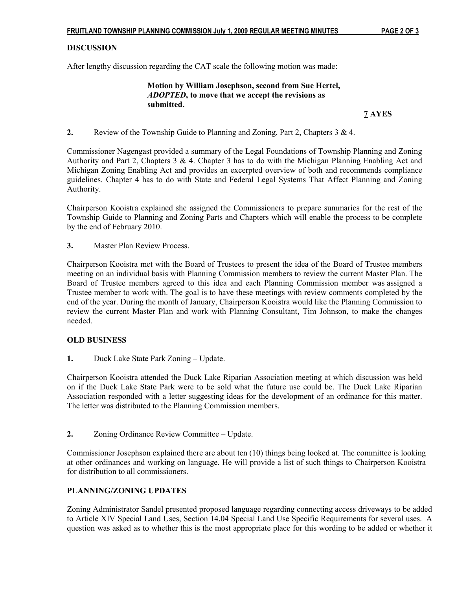# **DISCUSSION**

After lengthy discussion regarding the CAT scale the following motion was made:

 Motion by William Josephson, second from Sue Hertel, ADOPTED, to move that we accept the revisions as submitted.

7 AYES

2. Review of the Township Guide to Planning and Zoning, Part 2, Chapters  $3 \& 4$ .

Commissioner Nagengast provided a summary of the Legal Foundations of Township Planning and Zoning Authority and Part 2, Chapters 3 & 4. Chapter 3 has to do with the Michigan Planning Enabling Act and Michigan Zoning Enabling Act and provides an excerpted overview of both and recommends compliance guidelines. Chapter 4 has to do with State and Federal Legal Systems That Affect Planning and Zoning Authority.

Chairperson Kooistra explained she assigned the Commissioners to prepare summaries for the rest of the Township Guide to Planning and Zoning Parts and Chapters which will enable the process to be complete by the end of February 2010.

3. Master Plan Review Process.

Chairperson Kooistra met with the Board of Trustees to present the idea of the Board of Trustee members meeting on an individual basis with Planning Commission members to review the current Master Plan. The Board of Trustee members agreed to this idea and each Planning Commission member was assigned a Trustee member to work with. The goal is to have these meetings with review comments completed by the end of the year. During the month of January, Chairperson Kooistra would like the Planning Commission to review the current Master Plan and work with Planning Consultant, Tim Johnson, to make the changes needed.

### OLD BUSINESS

1. Duck Lake State Park Zoning – Update.

Chairperson Kooistra attended the Duck Lake Riparian Association meeting at which discussion was held on if the Duck Lake State Park were to be sold what the future use could be. The Duck Lake Riparian Association responded with a letter suggesting ideas for the development of an ordinance for this matter. The letter was distributed to the Planning Commission members.

2. Zoning Ordinance Review Committee – Update.

Commissioner Josephson explained there are about ten (10) things being looked at. The committee is looking at other ordinances and working on language. He will provide a list of such things to Chairperson Kooistra for distribution to all commissioners.

### PLANNING/ZONING UPDATES

Zoning Administrator Sandel presented proposed language regarding connecting access driveways to be added to Article XIV Special Land Uses, Section 14.04 Special Land Use Specific Requirements for several uses. A question was asked as to whether this is the most appropriate place for this wording to be added or whether it